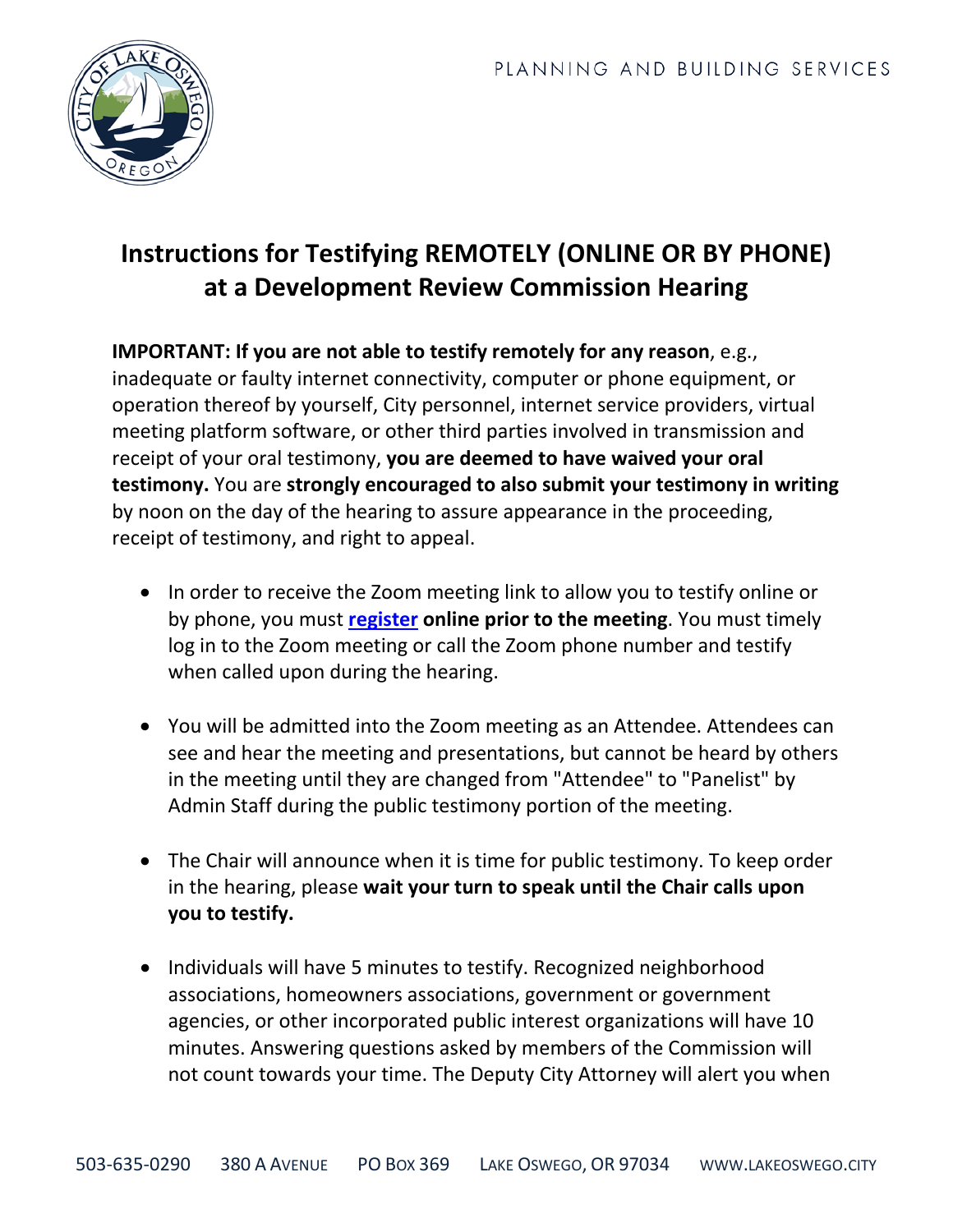

## **Instructions for Testifying REMOTELY (ONLINE OR BY PHONE) at a Development Review Commission Hearing**

**IMPORTANT: If you are not able to testify remotely for any reason**, e.g., inadequate or faulty internet connectivity, computer or phone equipment, or operation thereof by yourself, City personnel, internet service providers, virtual meeting platform software, or other third parties involved in transmission and receipt of your oral testimony, **you are deemed to have waived your oral testimony.** You are **strongly encouraged to also submit your testimony in writing** by noon on the day of the hearing to assure appearance in the proceeding, receipt of testimony, and right to appeal.

- In order to receive the Zoom meeting link to allow you to testify online or by phone, you must **[register](https://www.ci.oswego.or.us/formslf/ccdrcqj) online prior to the meeting**. You must timely log in to the Zoom meeting or call the Zoom phone number and testify when called upon during the hearing.
- You will be admitted into the Zoom meeting as an Attendee. Attendees can see and hear the meeting and presentations, but cannot be heard by others in the meeting until they are changed from "Attendee" to "Panelist" by Admin Staff during the public testimony portion of the meeting.
- The Chair will announce when it is time for public testimony. To keep order in the hearing, please **wait your turn to speak until the Chair calls upon you to testify.**
- Individuals will have 5 minutes to testify. Recognized neighborhood associations, homeowners associations, government or government agencies, or other incorporated public interest organizations will have 10 minutes. Answering questions asked by members of the Commission will not count towards your time. The Deputy City Attorney will alert you when